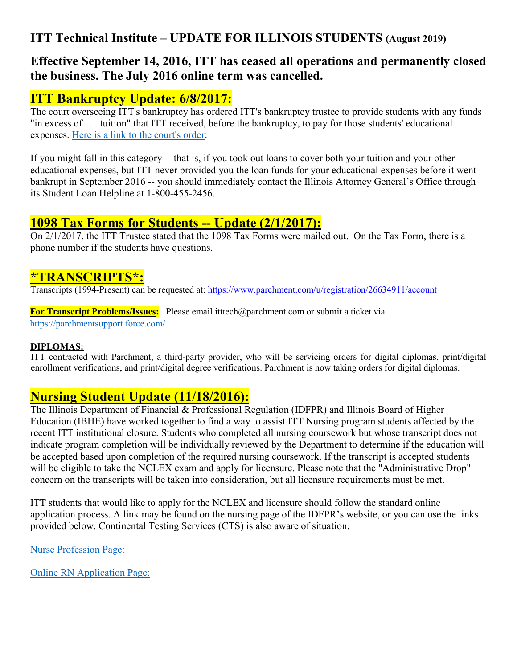## **ITT Technical Institute – UPDATE FOR ILLINOIS STUDENTS (August 2019)**

## **Effective September 14, 2016, ITT has ceased all operations and permanently closed the business. The July 2016 online term was cancelled.**

## **ITT Bankruptcy Update: 6/8/2017:**

The court overseeing ITT's bankruptcy has ordered ITT's bankruptcy trustee to provide students with any funds "in excess of . . . tuition" that ITT received, before the bankruptcy, to pay for those students' educational expenses. [Here is a link to the court's order:](http://omnimgt.com/cmsvol2/pub_47137/628417_1630.pdf)

If you might fall in this category -- that is, if you took out loans to cover both your tuition and your other educational expenses, but ITT never provided you the loan funds for your educational expenses before it went bankrupt in September 2016 -- you should immediately contact the Illinois Attorney General's Office through its Student Loan Helpline at 1-800-455-2456.

### **1098 Tax Forms for Students -- Update (2/1/2017):**

On 2/1/2017, the ITT Trustee stated that the 1098 Tax Forms were mailed out. On the Tax Form, there is a phone number if the students have questions.

### **[\\*TRANSCRIPTS\\*:](file://ibhefile/Lohman/ITT/*TRANSCRIPTS*:)**

Transcripts (1994-Present) can be requested at:<https://www.parchment.com/u/registration/26634911/account>

**For Transcript Problems/Issues:** Please email itttech@parchment.com or submit a ticket via <https://parchmentsupport.force.com/>

### **DIPLOMAS:**

ITT contracted with Parchment, a third-party provider, who will be servicing orders for digital diplomas, print/digital enrollment verifications, and print/digital degree verifications. Parchment is now taking orders for digital diplomas.

# **Nursing Student Update (11/18/2016):**

The Illinois Department of Financial & Professional Regulation (IDFPR) and Illinois Board of Higher Education (IBHE) have worked together to find a way to assist ITT Nursing program students affected by the recent ITT institutional closure. Students who completed all nursing coursework but whose transcript does not indicate program completion will be individually reviewed by the Department to determine if the education will be accepted based upon completion of the required nursing coursework. If the transcript is accepted students will be eligible to take the NCLEX exam and apply for licensure. Please note that the "Administrative Drop" concern on the transcripts will be taken into consideration, but all licensure requirements must be met.

ITT students that would like to apply for the NCLEX and licensure should follow the standard online application process. A link may be found on the nursing page of the IDFPR's website, or you can use the links provided below. Continental Testing Services (CTS) is also aware of situation.

[Nurse Profession Page:](https://www.continentaltesting.net/ProfDetail.aspx?Entity=2&ProfID=10)

[Online RN Application Page:](http://www.idfpr.com/profs/Nursing.asp)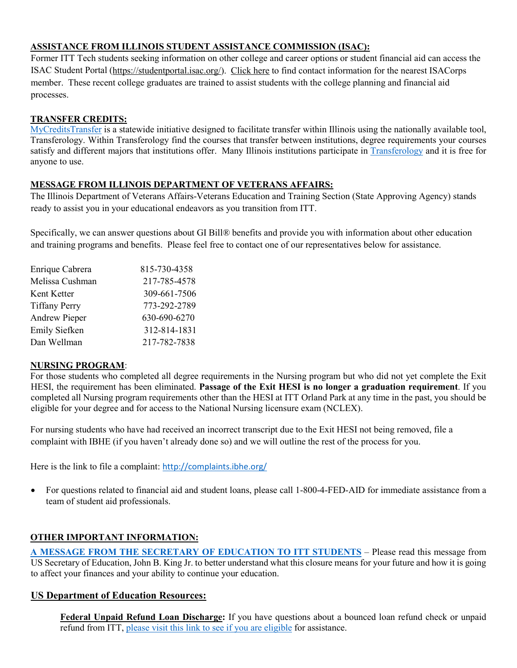### **ASSISTANCE FROM ILLINOIS STUDENT ASSISTANCE COMMISSION (ISAC):**

Former ITT Tech students seeking information on other college and career options or student financial aid can access the ISAC Student Portal [\(https://studentportal.isac.org/\)](https://studentportal.isac.org/). [Click here](https://studentportal.isac.org/web/guest/student/?p_p_id=Student_WAR_Studentportlet&_Student_WAR_Studentportlet__facesViewIdRender=%2Fviews%2FisacorpsMemberSearch.xhtml) to find contact information for the nearest ISACorps member. These recent college graduates are trained to assist students with the college planning and financial aid processes.

#### **TRANSFER CREDITS:**

[MyCreditsTransfer](https://www.transferology.com/state/il?all) is a statewide initiative designed to facilitate transfer within Illinois using the nationally available tool, Transferology. Within Transferology find the courses that transfer between institutions, degree requirements your courses satisfy and different majors that institutions offer. Many Illinois institutions participate in [Transferology](https://www.transferology.com/state/il?all) and it is free for anyone to use.

#### **MESSAGE FROM ILLINOIS DEPARTMENT OF VETERANS AFFAIRS:**

The Illinois Department of Veterans Affairs-Veterans Education and Training Section (State Approving Agency) stands ready to assist you in your educational endeavors as you transition from ITT.

Specifically, we can answer questions about GI Bill® benefits and provide you with information about other education and training programs and benefits. Please feel free to contact one of our representatives below for assistance.

| Enrique Cabrera      | 815-730-4358 |
|----------------------|--------------|
| Melissa Cushman      | 217-785-4578 |
| Kent Ketter          | 309-661-7506 |
| <b>Tiffany Perry</b> | 773-292-2789 |
| <b>Andrew Pieper</b> | 630-690-6270 |
| Emily Siefken        | 312-814-1831 |
| Dan Wellman          | 217-782-7838 |

#### **NURSING PROGRAM**:

For those students who completed all degree requirements in the Nursing program but who did not yet complete the Exit HESI, the requirement has been eliminated. **Passage of the Exit HESI is no longer a graduation requirement**. If you completed all Nursing program requirements other than the HESI at ITT Orland Park at any time in the past, you should be eligible for your degree and for access to the National Nursing licensure exam (NCLEX).

For nursing students who have had received an incorrect transcript due to the Exit HESI not being removed, file a complaint with IBHE (if you haven't already done so) and we will outline the rest of the process for you.

Here is the link to file a complaint: <http://complaints.ibhe.org/>

• For questions related to financial aid and student loans, please call 1-800-4-FED-AID for immediate assistance from a team of student aid professionals.

### **OTHER IMPORTANT INFORMATION:**

**[A MESSAGE FROM THE SECRETARY OF EDUCATION TO ITT STUDENTS](http://blog.ed.gov/2016/09/message-secretary-education-itt-students/)** – Please read this message from US Secretary of Education, John B. King Jr. to better understand what this closure means for your future and how it is going to affect your finances and your ability to continue your education.

### **US Department of Education Resources:**

**Federal Unpaid Refund Loan Discharge:** If you have questions about a bounced loan refund check or unpaid refund from ITT, [please visit this link to see if you are eligible](https://myfedloan.org/borrowers/forgiveness-discharge/discharge) for assistance.